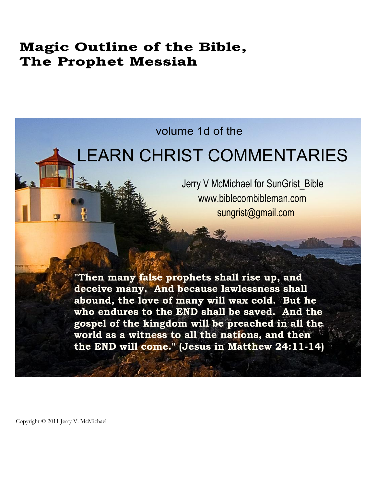# **Magic Outline of the Bible, The Prophet Messiah**

# volume 1d of the

# LEARN CHRIST COMMENTARIES

Jerry V McMichael for SunGrist\_Bible www.biblecombibleman.com sungrist@gmail.com

**"Then many false prophets shall rise up, and deceive many. And because lawlessness shall abound, the love of many will wax cold. But he who endures to the END shall be saved. And the gospel of the kingdom will be preached in all the world as a witness to all the nations, and then the END will come." (Jesus in Matthew 24:11-14)**

Copyright © 2011 Jerry V. McMichael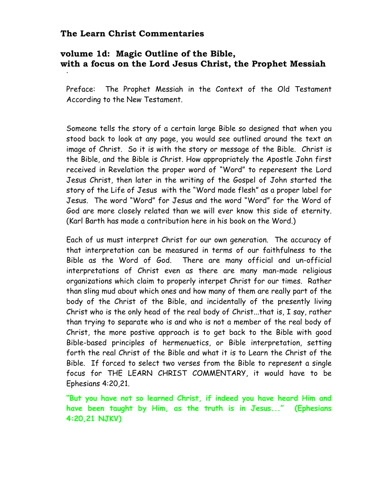#### The Learn Christ Commentaries

### volume 1d: Magic Outline of the Bible, with a focus on the Lord Jesus Christ, the Prophet Messiah

Preface: The Prophet Messiah in the Context of the Old Testament According to the New Testament.

Someone tells the story of a certain large Bible so designed that when you stood back to look at any page, you would see outlined around the text an image of Christ. So it is with the story or message of the Bible. Christ is the Bible, and the Bible is Christ. How appropriately the Apostle John first received in Revelation the proper word of "Word" to reperesent the Lord Jesus Christ, then later in the writing of the Gospel of John started the story of the Life of Jesus with the "Word made flesh" as a proper label for Jesus. The word "Word" for Jesus and the word "Word" for the Word of God are more closely related than we will ever know this side of eternity. (Karl Barth has made a contribution here in his book on the Word.)

Each of us must interpret Christ for our own generation. The accuracy of that interpretation can be measured in terms of our faithfulness to the Bible as the Word of God. There are many official and un-official interpretations of Christ even as there are many man-made religious organizations which claim to properly interpet Christ for our times. Rather than sling mud about which ones and how many of them are really part of the body of the Christ of the Bible, and incidentally of the presently living Christ who is the only head of the real body of Christ...that is, I say, rather than trying to separate who is and who is not a member of the real body of Christ, the more postive approach is to get back to the Bible with good Bible-based principles of hermenuetics, or Bible interpretation, setting forth the real Christ of the Bible and what it is to Learn the Christ of the Bible. If forced to select two verses from the Bible to represent a single focus for THE LEARN CHRIST COMMENTARY, it would have to be Ephesians 4:20,21.

"But you have not so learned Christ, if indeed you have heard Him and have been taught by Him, as the truth is in Jesus..." (Ephesians 4:20,21 NJKV)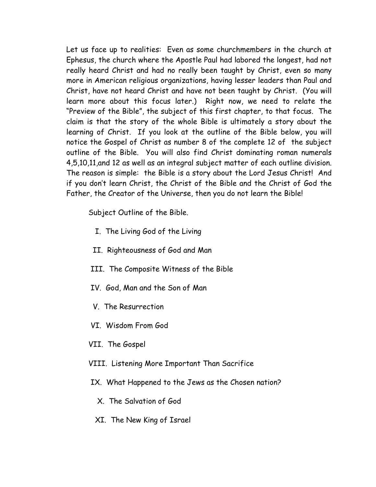Let us face up to realities: Even as some churchmembers in the church at Ephesus, the church where the Apostle Paul had labored the longest, had not really heard Christ and had no really been taught by Christ, even so many more in American religious organizations, having lesser leaders than Paul and Christ, have not heard Christ and have not been taught by Christ. (You will learn more about this focus later.) Right now, we need to relate the "Preview of the Bible", the subject of this first chapter, to that focus. The claim is that the story of the whole Bible is ultimately a story about the learning of Christ. If you look at the outline of the Bible below, you will notice the Gospel of Christ as number 8 of the complete 12 of the subject outline of the Bible. You will also find Christ dominating roman numerals 4,5,10,11, and 12 as well as an integral subject matter of each outline division. The reason is simple: the Bible is a story about the Lord Jesus Christ! And if you don't learn Christ, the Christ of the Bible and the Christ of God the Father, the Creator of the Universe, then you do not learn the Bible!

Subject Outline of the Bible.

- I. The Living God of the Living
- II. Righteousness of God and Man
- III. The Composite Witness of the Bible
- IV. God, Man and the Son of Man
- V. The Resurrection
- VI. Wisdom From God
- VII. The Gospel
- VIII. Listening More Important Than Sacrifice
- IX. What Happened to the Jews as the Chosen nation?
	- X. The Salvation of God
	- XI. The New King of Israel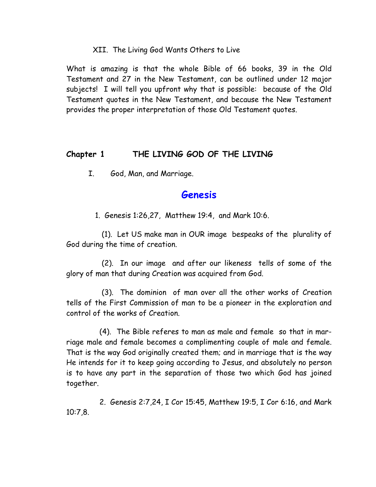#### XII. The Living God Wants Others to Live

What is amazing is that the whole Bible of 66 books, 39 in the Old Testament and 27 in the New Testament, can be outlined under 12 major subjects! I will tell you upfront why that is possible: because of the Old Testament quotes in the New Testament, and because the New Testament provides the proper interpretation of those Old Testament quotes.

#### THE LIVING GOD OF THE LIVING Chapter 1

 $\mathbf{I}$ . God, Man, and Marriage.

## Genesis

1. Genesis 1:26,27, Matthew 19:4, and Mark 10:6.

(1). Let US make man in OUR image bespeaks of the plurality of God during the time of creation.

(2). In our image and after our likeness tells of some of the glory of man that during Creation was acquired from God.

(3). The dominion of man over all the other works of Creation tells of the First Commission of man to be a pioneer in the exploration and control of the works of Creation.

(4). The Bible referes to man as male and female so that in marriage male and female becomes a complimenting couple of male and female. That is the way God originally created them; and in marriage that is the way He intends for it to keep going according to Jesus, and absolutely no person is to have any part in the separation of those two which God has joined together.

2. Genesis 2:7,24, I Cor 15:45, Matthew 19:5, I Cor 6:16, and Mark  $10:7,8$ .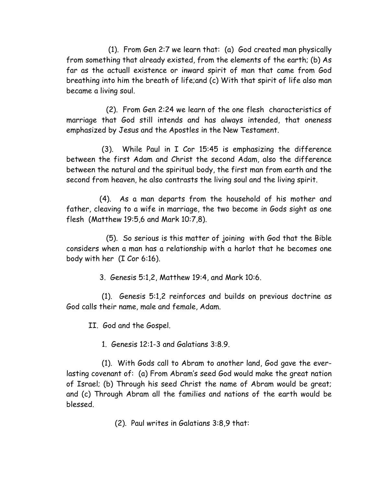(1). From Gen 2:7 we learn that: (a) God created man physically from something that already existed, from the elements of the earth; (b) As far as the actuall existence or inward spirit of man that came from God breathing into him the breath of life;and (c) With that spirit of life also man became a living soul.

(2). From Gen 2:24 we learn of the one flesh characteristics of marriage that God still intends and has always intended, that oneness emphasized by Jesus and the Apostles in the New Testament.

 $(3)$ . While Paul in I Cor 15:45 is emphasizing the difference between the first Adam and Christ the second Adam, also the difference between the natural and the spiritual body, the first man from earth and the second from heaven, he also contrasts the living soul and the living spirit.

 $(4)$ . As a man departs from the household of his mother and father, cleaving to a wife in marriage, the two become in Gods sight as one flesh (Matthew 19:5,6 and Mark 10:7,8).

(5). So serious is this matter of joining with God that the Bible considers when a man has a relationship with a harlot that he becomes one body with her  $(I$  Cor 6:16).

3. Genesis 5:1,2, Matthew 19:4, and Mark 10:6.

 $(1)$ . Genesis 5:1,2 reinforces and builds on previous doctrine as God calls their name, male and female, Adam.

II. God and the Gospel.

1. Genesis  $12:1-3$  and Galatians  $3:8.9$ .

(1). With Gods call to Abram to another land, God gave the everlasting covenant of: (a) From Abram's seed God would make the great nation of Israel; (b) Through his seed Christ the name of Abram would be great; and (c) Through Abram all the families and nations of the earth would be blessed

 $(2)$ . Paul writes in Galatians 3:8.9 that: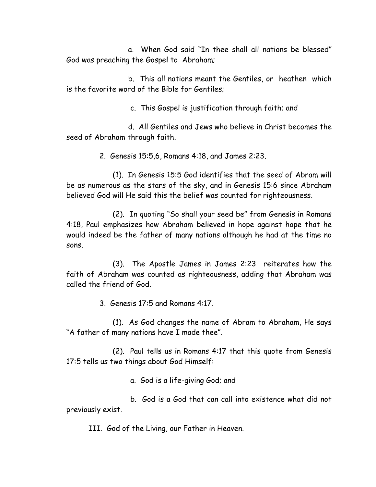a. When God said "In thee shall all nations be blessed" God was preaching the Gospel to Abraham;

b. This all nations meant the Gentiles, or heathen which is the favorite word of the Bible for Gentiles:

c. This Gospel is justification through faith; and

d. All Gentiles and Jews who believe in Christ becomes the seed of Abraham through faith.

2. Genesis 15:5,6, Romans 4:18, and James 2:23.

 $(1)$ . In Genesis 15:5 God identifies that the seed of Abram will be as numerous as the stars of the sky, and in Genesis 15:6 since Abraham believed God will He said this the belief was counted for righteousness.

(2). In quoting "So shall your seed be" from Genesis in Romans 4:18, Paul emphasizes how Abraham believed in hope against hope that he would indeed be the father of many nations although he had at the time no .snos

 $(3)$ . The Apostle James in James 2:23 reiterates how the faith of Abraham was counted as righteousness, adding that Abraham was called the friend of God

3. Genesis  $17:5$  and Romans  $4:17$ .

 $(1)$ . As God changes the name of Abram to Abraham, He says "A father of many nations have I made thee".

 $(2)$ . Paul tells us in Romans 4:17 that this quote from Genesis  $17:5$  tells us two things about God Himself:

a. God is a life-giving God; and

b. God is a God that can call into existence what did not previously exist.

III. God of the Living, our Father in Heaven.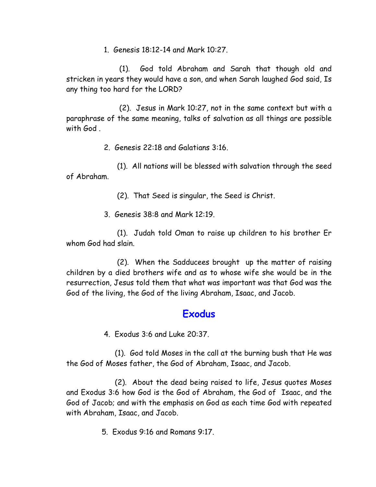1. Genesis 18:12-14 and Mark 10:27.

(1). God told Abraham and Sarah that though old and stricken in years they would have a son, and when Sarah laughed God said, Is any thing too hard for the LORD?

(2). Jesus in Mark 10:27, not in the same context but with a paraphrase of the same meaning, talks of salvation as all things are possible with  $God$ .

2. Genesis  $22:18$  and Galatians  $3:16$ .

 $(1)$ . All nations will be blessed with salvation through the seed of Abraham.

 $(2)$ . That Seed is singular, the Seed is Christ.

3 Genesis  $38:8$  and Mark 12:19

(1). Judah told Oman to raise up children to his brother Er whom God had slain

 $(2)$ . When the Sadducees brought up the matter of raising children by a died brothers wife and as to whose wife she would be in the resurrection, Jesus told them that what was important was that God was the God of the living, the God of the living Abraham, Isaac, and Jacob.

# Exodus

4. Exodus 3:6 and Luke 20:37.

(1). God told Moses in the call at the burning bush that He was the God of Moses father, the God of Abraham, Isaac, and Jacob.

(2). About the dead being raised to life, Jesus quotes Moses and Exodus 3:6 how God is the God of Abraham, the God of Isaac, and the God of Jacob; and with the emphasis on God as each time God with repeated with Abraham, Isaac, and Jacob.

5. Fxodus 9:16 and Romans 9:17.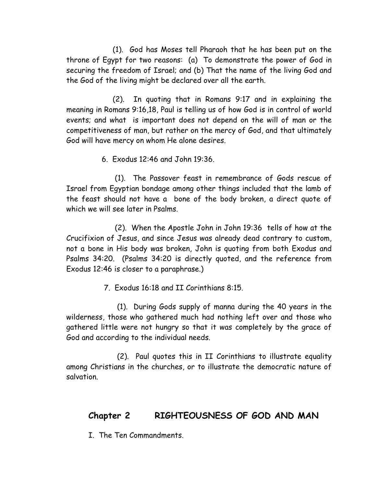(1). God has Moses tell Pharaoh that he has been put on the throne of Egypt for two reasons: (a) To demonstrate the power of God in securing the freedom of Israel; and (b) That the name of the living God and the God of the living might be declared over all the earth.

In quoting that in Romans 9:17 and in explaining the  $(2)$ . meaning in Romans 9:16,18, Paul is telling us of how God is in control of world events; and what is important does not depend on the will of man or the competitiveness of man, but rather on the mercy of God, and that ultimately God will have mercy on whom He alone desires.

6. Exodus 12:46 and John 19:36.

(1). The Passover feast in remembrance of Gods rescue of Israel from Egyptian bondage among other things included that the lamb of the feast should not have a bone of the body broken, a direct quote of which we will see later in Psalms.

(2). When the Apostle John in John 19:36 tells of how at the Crucifixion of Jesus, and since Jesus was already dead contrary to custom, not a bone in His body was broken, John is quoting from both Exodus and Psalms 34:20. (Psalms 34:20 is directly quoted, and the reference from Exodus 12:46 is closer to a paraphrase.)

7. Exodus 16:18 and II Corinthians 8:15.

(1). During Gods supply of manna during the 40 years in the wilderness, those who gathered much had nothing left over and those who gathered little were not hungry so that it was completely by the grace of God and according to the individual needs.

(2). Paul quotes this in II Corinthians to illustrate equality among Christians in the churches, or to illustrate the democratic nature of salvation

#### Chapter 2 RIGHTEOUSNESS OF GOD AND MAN

T The Ten Commandments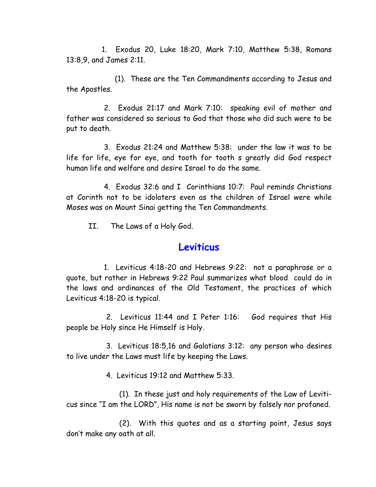1. Exodus 20, Luke 18:20, Mark 7:10, Matthew 5:38, Romans 13:8,9, and James 2:11.

(1). These are the Ten Commandments according to Jesus and the Apostles.

2. Exodus 21:17 and Mark 7:10: speaking evil of mother and father was considered so serious to God that those who did such were to be put to death.

3. Exodus 21:24 and Matthew 5:38: under the law it was to be life for life, eye for eye, and tooth for tooth s greatly did God respect human life and welfare and desire Israel to do the same.

4. Exodus 32:6 and I Corinthians 10:7: Paul reminds Christians at Corinth not to be idolaters even as the children of Israel were while Moses was on Mount Sinai getting the Ten Commandments.

 $II$ The Laws of a Holy God.

### Leviticus

1. Leviticus 4:18-20 and Hebrews 9:22: not a paraphrase or a quote, but rather in Hebrews 9:22 Paul summarizes what blood could do in the laws and ordinances of the Old Testament, the practices of which Leviticus 4:18-20 is typical.

2. Leviticus 11:44 and I Peter 1:16: God requires that His people be Holy since He Himself is Holy.

3. Leviticus 18:5,16 and Galatians 3:12: any person who desires to live under the Laws must life by keeping the Laws.

4 Leviticus 19:12 and Matthew 5:33

(1). In these just and holy requirements of the Law of Leviticus since "I am the LORD", His name is not be sworn by falsely nor profaned.

(2). With this quotes and as a starting point, Jesus says don't make any oath at all.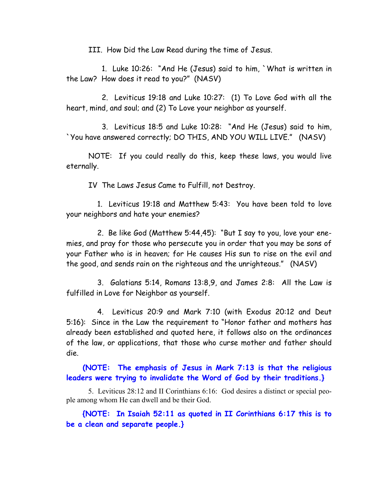III. How Did the Law Read during the time of Jesus.

1. Luke 10:26: "And He (Jesus) said to him, 'What is written in the Law? How does it read to you?" (NASV)

2. Leviticus 19:18 and Luke 10:27: (1) To Love God with all the heart, mind, and soul; and (2) To Love your neighbor as yourself.

3. Leviticus 18:5 and Luke 10:28: "And He (Jesus) said to him, 'You have answered correctly; DO THIS, AND YOU WILL LIVE." (NASV)

NOTE: If you could really do this, keep these laws, you would live eternally.

IV The Laws Jesus Came to Fulfill, not Destroy.

1. Leviticus 19:18 and Matthew 5:43: You have been told to love your neighbors and hate your enemies?

2. Be like God (Matthew 5:44,45): "But I say to you, love your enemies, and pray for those who persecute you in order that you may be sons of your Father who is in heaven; for He causes His sun to rise on the evil and the good, and sends rain on the righteous and the unrighteous." (NASV)

3. Galatians 5:14, Romans 13:8,9, and James 2:8: All the Law is fulfilled in Love for Neighbor as yourself.

4. Leviticus 20:9 and Mark 7:10 (with Exodus 20:12 and Deut 5:16): Since in the Law the reguirement to "Honor father and mothers has already been established and quoted here, it follows also on the ordinances of the law, or applications, that those who curse mother and father should die.

(NOTE: The emphasis of Jesus in Mark 7:13 is that the religious leaders were trying to invalidate the Word of God by their traditions.}

5. Leviticus 28:12 and II Corinthians 6:16: God desires a distinct or special people among whom He can dwell and be their God.

{NOTE: In Isaiah 52:11 as quoted in II Corinthians 6:17 this is to be a clean and separate people.}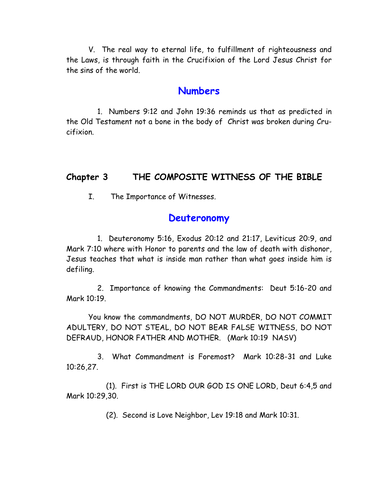V. The real way to eternal life, to fulfillment of righteousness and the Laws, is through faith in the Crucifixion of the Lord Jesus Christ for the sins of the world

### **Numbers**

1. Numbers 9:12 and John 19:36 reminds us that as predicted in the Old Testament not a bone in the body of Christ was broken during Crucifixion.

#### Chapter 3 THE COMPOSITE WITNESS OF THE BIBLE

The Importance of Witnesses. I.

### Deuteronomy

1. Deuteronomy 5:16, Exodus 20:12 and 21:17, Leviticus 20:9, and Mark 7:10 where with Honor to parents and the law of death with dishonor, Jesus teaches that what is inside man rather than what goes inside him is defiling.

2. Importance of knowing the Commandments: Deut 5:16-20 and Mark 10:19.

You know the commandments, DO NOT MURDER, DO NOT COMMIT ADULTERY, DO NOT STEAL, DO NOT BEAR FALSE WITNESS, DO NOT DEFRAUD, HONOR FATHER AND MOTHER. (Mark 10:19 NASV)

3. What Commandment is Foremost? Mark 10:28-31 and Luke 10:26.27.

(1). First is THE LORD OUR GOD IS ONE LORD, Deut 6:4,5 and Mark 10:29,30.

(2). Second is Love Neighbor, Lev 19:18 and Mark 10:31.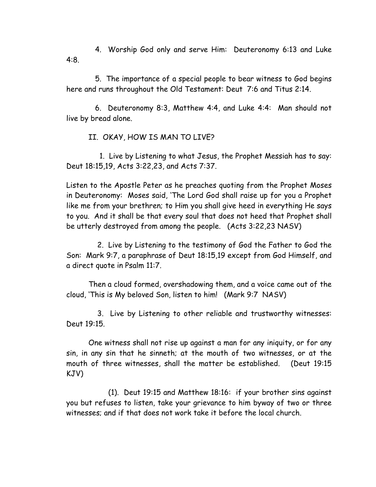4. Worship God only and serve Him: Deuteronomy 6:13 and Luke  $4:8.$ 

5. The importance of a special people to bear witness to God begins here and runs throughout the Old Testament: Deut 7:6 and Titus 2:14.

6. Deuteronomy 8:3, Matthew 4:4, and Luke 4:4: Man should not live by bread alone.

II. OKAY, HOW IS MAN TO LIVE?

1. Live by Listening to what Jesus, the Prophet Messiah has to say: Deut 18:15,19, Acts 3:22,23, and Acts 7:37.

Listen to the Apostle Peter as he preaches quoting from the Prophet Moses in Deuteronomy: Moses said, 'The Lord God shall raise up for you a Prophet like me from your brethren; to Him you shall give heed in everything He says to you. And it shall be that every soul that does not heed that Prophet shall be utterly destroyed from among the people. (Acts 3:22,23 NASV)

2. Live by Listening to the testimony of God the Father to God the Son: Mark 9:7, a paraphrase of Deut 18:15,19 except from God Himself, and a direct quote in Psalm 11:7.

Then a cloud formed, overshadowing them, and a voice came out of the cloud, 'This is My beloved Son, listen to him! (Mark 9:7 NASV)

3. Live by Listening to other reliable and trustworthy witnesses: Deut 19:15.

One witness shall not rise up against a man for any iniquity, or for any sin, in any sin that he sinneth; at the mouth of two witnesses, or at the mouth of three witnesses, shall the matter be established. (Deut 19:15 KJV)

(1). Deut 19:15 and Matthew 18:16: if your brother sins against you but refuses to listen, take your grievance to him byway of two or three witnesses; and if that does not work take it before the local church.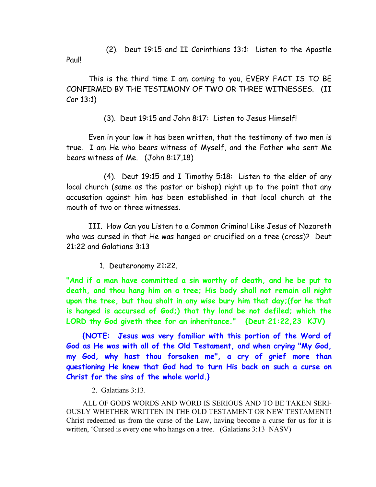(2). Deut 19:15 and II Corinthians 13:1: Listen to the Apostle Paul!

This is the third time I am coming to you, EVERY FACT IS TO BE CONFIRMED BY THE TESTIMONY OF TWO OR THREE WITNESSES. (II  $Cor 13:1$ 

(3). Deut 19:15 and John 8:17: Listen to Jesus Himself!

Even in your law it has been written, that the testimony of two men is true. I am He who bears witness of Myself, and the Father who sent Me bears witness of Me.  $(John 8:17,18)$ 

(4). Deut 19:15 and I Timothy 5:18: Listen to the elder of any local church (same as the pastor or bishop) right up to the point that any accusation against him has been established in that local church at the mouth of two or three witnesses

III. How Can you Listen to a Common Criminal Like Jesus of Nazareth who was cursed in that He was hanged or crucified on a tree (cross)? Deut  $21:22$  and Galatians  $3:13$ 

1. Deuteronomy 21:22.

"And if a man have committed a sin worthy of death, and he be put to death, and thou hang him on a tree; His body shall not remain all night upon the tree, but thou shalt in any wise bury him that day; (for he that is hanged is accursed of God;) that thy land be not defiled; which the LORD thy God giveth thee for an inheritance." (Deut 21:22,23 KJV)

{NOTE: Jesus was very familiar with this portion of the Word of God as He was with all of the Old Testament, and when crying "My God, my God, why hast thou forsaken me", a cry of grief more than questioning He knew that God had to turn His back on such a curse on Christ for the sins of the whole world.}

2. Galatians  $3:13$ .

ALL OF GODS WORDS AND WORD IS SERIOUS AND TO BE TAKEN SERI-OUSLY WHETHER WRITTEN IN THE OLD TESTAMENT OR NEW TESTAMENT! Christ redeemed us from the curse of the Law, having become a curse for us for it is written, 'Cursed is every one who hangs on a tree. (Galatians 3:13 NASV)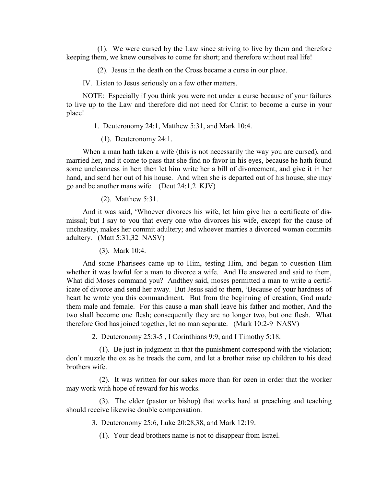(1). We were cursed by the Law since striving to live by them and therefore keeping them, we knew ourselves to come far short; and therefore without real life!

(2). Jesus in the death on the Cross became a curse in our place.

IV. Listen to Jesus seriously on a few other matters.

NOTE: Especially if you think you were not under a curse because of your failures to live up to the Law and therefore did not need for Christ to become a curse in your place!

1. Deuteronomy 24:1, Matthew 5:31, and Mark 10:4.

 $(1)$ . Deuteronomy 24:1.

When a man hath taken a wife (this is not necessarily the way you are cursed), and married her, and it come to pass that she find no favor in his eyes, because he hath found some uncleanness in her; then let him write her a bill of divorcement, and give it in her hand, and send her out of his house. And when she is departed out of his house, she may go and be another mans wife. (Deut 24:1,2 KJV)

 $(2)$ . Matthew 5:31.

And it was said, 'Whoever divorces his wife, let him give her a certificate of dismissal; but I say to you that every one who divorces his wife, except for the cause of unchastity, makes her commit adultery; and whoever marries a divorced woman commits adultery. (Matt 5:31,32 NASV)

 $(3)$ . Mark 10:4.

And some Pharisees came up to Him, testing Him, and began to question Him whether it was lawful for a man to divorce a wife. And He answered and said to them, What did Moses command you? And they said, moses permitted a man to write a certificate of divorce and send her away. But Jesus said to them, 'Because of your hardness of heart he wrote you this commandment. But from the beginning of creation, God made them male and female. For this cause a man shall leave his father and mother, And the two shall become one flesh; consequently they are no longer two, but one flesh. What therefore God has joined together, let no man separate. (Mark 10:2-9 NASV)

2. Deuteronomy 25:3-5, I Corinthians 9:9, and I Timothy 5:18.

(1). Be just in judgment in that the punishment correspond with the violation; don't muzzle the ox as he treads the corn, and let a brother raise up children to his dead brothers wife

(2). It was written for our sakes more than for ozen in order that the worker may work with hope of reward for his works.

(3). The elder (pastor or bishop) that works hard at preaching and teaching should receive likewise double compensation.

3. Deuteronomy 25:6, Luke 20:28,38, and Mark 12:19.

(1). Your dead brothers name is not to disappear from Israel.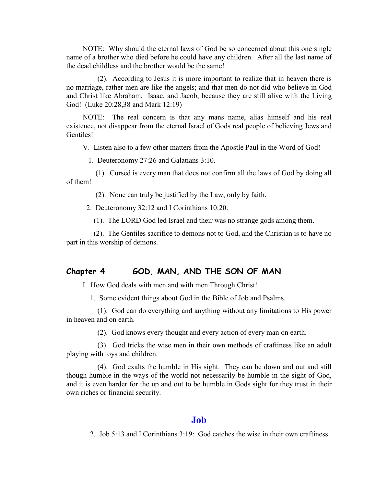NOTE: Why should the eternal laws of God be so concerned about this one single name of a brother who died before he could have any children. After all the last name of the dead childless and the brother would be the same!

 $(2)$ . According to Jesus it is more important to realize that in heaven there is no marriage, rather men are like the angels; and that men do not did who believe in God and Christ like Abraham, Isaac, and Jacob, because they are still alive with the Living God! (Luke 20:28,38 and Mark 12:19)

NOTE: The real concern is that any mans name, alias himself and his real existence, not disappear from the eternal Israel of Gods real people of believing Jews and Gentiles!

V. Listen also to a few other matters from the Apostle Paul in the Word of God!

1. Deuteronomy  $27:26$  and Galatians  $3:10$ .

 $(1)$ . Cursed is every man that does not confirm all the laws of God by doing all of them!

(2). None can truly be justified by the Law, only by faith.

2. Deuteronomy  $32:12$  and I Corinthians  $10:20$ .

 $(1)$ . The LORD God led Israel and their was no strange gods among them.

(2). The Gentiles sacrifice to demons not to God, and the Christian is to have no part in this worship of demons.

#### *Chapter 4* **60D, MAN, AND THE SON OF MAN**

I. How God deals with men and with men Through Christ!

1. Some evident things about God in the Bible of Job and Psalms.

 $(1)$ . God can do everything and anything without any limitations to His power in heaven and on earth.

(2). God knows every thought and every action of every man on earth.

 $(3)$ . God tricks the wise men in their own methods of craftiness like an adult playing with toys and children.

 $(4)$ . God exalts the humble in His sight. They can be down and out and still though humble in the ways of the world not necessarily be humble in the sight of God, and it is even harder for the up and out to be humble in Gods sight for they trust in their own riches or financial security.

#### **boJ**

2. Job  $5:13$  and I Corinthians  $3:19$ : God catches the wise in their own craftiness.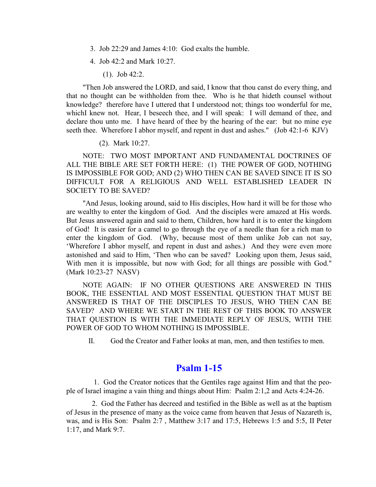- 3. Job 22:29 and James 4:10: God exalts the humble.
- 4. Job 42:2 and Mark 10:27.
	- $(1)$ . Job 42:2.

"Then Job answered the LORD, and said, I know that thou canst do every thing, and that no thought can be withholden from thee. Who is he that hideth counsel without knowledge? therefore have I uttered that I understood not; things too wonderful for me, which I knew not. Hear, I beseech thee, and I will speak: I will demand of thee, and declare thou unto me. I have heard of thee by the hearing of the ear: but no mine eye seeth thee. Wherefore I abhor myself, and repent in dust and ashes." (Job 42:1-6 KJV)

 $(2)$ . Mark 10:27.

NOTE: TWO MOST IMPORTANT AND FUNDAMENTAL DOCTRINES OF ALL THE BIBLE ARE SET FORTH HERE: (1) THE POWER OF GOD, NOTHING IS IMPOSSIBLE FOR GOD; AND (2) WHO THEN CAN BE SAVED SINCE IT IS SO DIFFICULT FOR A RELIGIOUS AND WELL ESTABLISHED LEADER IN **SOCIETY TO BE SAVED?** 

"And Jesus, looking around, said to His disciples, How hard it will be for those who are wealthy to enter the kingdom of God. And the disciples were amazed at His words. But Jesus answered again and said to them, Children, how hard it is to enter the kingdom of God! It is easier for a camel to go through the eye of a needle than for a rich man to enter the kingdom of God. (Why, because most of them unlike Job can not say, 'Wherefore I abhor myself, and repent in dust and ashes.) And they were even more astonished and said to Him, 'Then who can be saved? Looking upon them, Jesus said, With men it is impossible, but now with God; for all things are possible with God." (Mark 10:23-27 NASV)

NOTE AGAIN: IF NO OTHER QUESTIONS ARE ANSWERED IN THIS BOOK, THE ESSENTIAL AND MOST ESSENTIAL QUESTION THAT MUST BE ANSWERED IS THAT OF THE DISCIPLES TO JESUS, WHO THEN CAN BE SAVED? AND WHERE WE START IN THE REST OF THIS BOOK TO ANSWER THAT QUESTION IS WITH THE IMMEDIATE REPLY OF JESUS, WITH THE POWER OF GOD TO WHOM NOTHING IS IMPOSSIBLE.

П. God the Creator and Father looks at man, men, and then testifies to men.

#### **Psalm 1-15**

1. God the Creator notices that the Gentiles rage against Him and that the people of Israel imagine a vain thing and things about Him: Psalm 2:1,2 and Acts 4:24-26.

2. God the Father has decreed and testified in the Bible as well as at the baptism of Jesus in the presence of many as the voice came from heaven that Jesus of Nazareth is, was, and is His Son: Psalm 2:7, Matthew 3:17 and 17:5, Hebrews 1:5 and 5:5, II Peter 1:17, and Mark 9:7.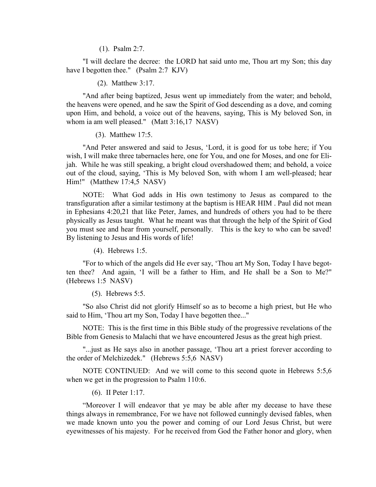$(1)$ . Psalm 2:7.

"I will declare the decree: the LORD hat said unto me, Thou art my Son; this day have I begotten thee."  $(Psalm 2:7 KJV)$ 

 $(2)$ . Matthew 3:17.

" And after being baptized, Jesus went up immediately from the water; and behold, the heavens were opened, and he saw the Spirit of God descending as a dove, and coming upon Him, and behold, a voice out of the heavens, saying, This is My beloved Son, in whom ia am well pleased." (Matt  $3:16,17$  NASV)

 $(3)$ . Matthew 17:5.

" And Peter answered and said to Jesus, 'Lord, it is good for us tobe here; if You wish, I will make three tabernacles here, one for You, and one for Moses, and one for Elijah. While he was still speaking, a bright cloud overshadowed them; and behold, a voice out of the cloud, saying, 'This is My beloved Son, with whom I am well-pleased; hear  $Him!$ " (Matthew 17:4,5 NASV)

NOTE: What God adds in His own testimony to Jesus as compared to the transfiguration after a similar testimony at the baptism is HEAR HIM. Paul did not mean in Ephesians 4:20,21 that like Peter, James, and hundreds of others you had to be there physically as Jesus taught. What he meant was that through the help of the Spirit of God you must see and hear from yourself, personally. This is the key to who can be saved! By listening to Jesus and His words of life!

 $(4)$ . Hebrews 1:5.

"For to which of the angels did He ever say, 'Thou art My Son, Today I have begotten thee? And again, 'I will be a father to Him, and He shall be a Son to Me?"  $(Hebrews 1:5$  NASV)

 $(5)$ . Hebrews 5:5.

"So also Christ did not glorify Himself so as to become a high priest, but He who said to Him, 'Thou art my Son, Today I have begotten thee..."

NOTE: This is the first time in this Bible study of the progressive revelations of the Bible from Genesis to Malachi that we have encountered Jesus as the great high priest.

"... just as He says also in another passage, 'Thou art a priest forever according to the order of Melchizedek." (Hebrews 5:5,6 NASV)

NOTE CONTINUED: And we will come to this second quote in Hebrews  $5:5,6$ when we get in the progression to Psalm  $110:6$ .

 $(6)$ . II Peter 1:17.

"Moreover I will endeavor that ye may be able after my decease to have these things always in remembrance. For we have not followed cunningly devised fables, when we made known unto you the power and coming of our Lord Jesus Christ, but were eye witnesses of his majesty. For he received from God the Father honor and glory, when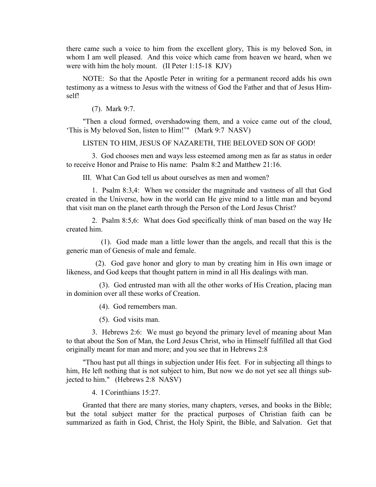there came such a voice to him from the excellent glory, This is my beloved Son, in whom I am well pleased. And this voice which came from heaven we heard, when we were with him the holy mount. (II Peter 1:15-18  $KJV$ )

NOTE: So that the Apostle Peter in writing for a permanent record adds his own testimony as a witness to Jesus with the witness of God the Father and that of Jesus Himselft

 $(7)$ . Mark 9:7.

"Then a cloud formed, overshadowing them, and a voice came out of the cloud, 'This is My beloved Son, listen to Him!'" (Mark 9:7 NASV)

#### LISTEN TO HIM, JESUS OF NAZARETH, THE BELOVED SON OF GOD!

3. God chooses men and ways less esteemed among men as far as status in order to receive Honor and Praise to His name: Psalm 8:2 and Matthew 21:16.

III What Can God tell us about ourselves as men and women?

1. Psalm 8:3.4: When we consider the magnitude and vastness of all that God created in the Universe, how in the world can He give mind to a little man and beyond that visit man on the planet earth through the Person of the Lord Jesus Christ?

2. Psalm 8:5.6: What does God specifically think of man based on the way He created him

(1). God made man a little lower than the angels, and recall that this is the generic man of Genesis of male and female.

(2). God gave honor and glory to man by creating him in His own image or likeness, and God keeps that thought pattern in mind in all His dealings with man.

(3). God entrusted man with all the other works of His Creation, placing man in dominion over all these works of Creation.

(4). God remembers man.

 $(5)$ . God visits man.

3. Hebrews 2:6: We must go beyond the primary level of meaning about Man to that about the Son of Man, the Lord Jesus Christ, who in Himself fulfilled all that God originally meant for man and more; and you see that in Hebrews 2:8

"Thou hast put all things in subjection under His feet. For in subjecting all things to him, He left nothing that is not subject to him, But now we do not yet see all things subjected to him." (Hebrews 2:8 NASV)

4. I Corinthians 15:27.

Granted that there are many stories, many chapters, verses, and books in the Bible; but the total subject matter for the practical purposes of Christian faith can be summarized as faith in God, Christ, the Holy Spirit, the Bible, and Salvation. Get that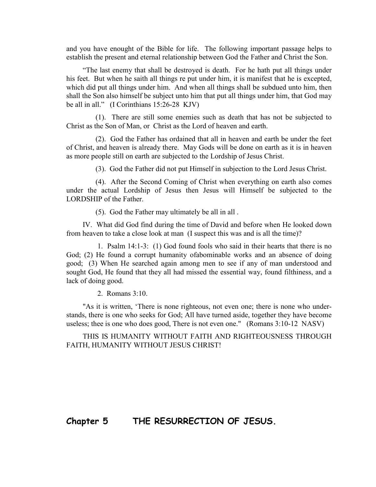and you have enought of the Bible for life. The following important passage helps to establish the present and eternal relationship between God the Father and Christ the Son.

"The last enemy that shall be destroyed is death. For he hath put all things under his feet. But when he saith all things re put under him, it is manifest that he is excepted, which did put all things under him. And when all things shall be subdued unto him, then shall the Son also himself be subject unto him that put all things under him, that God may be all in all."  $(I$  Corinthians 15:26-28 KJV)

 $(1)$ . There are still some enemies such as death that has not be subjected to Christ as the Son of Man, or Christ as the Lord of heaven and earth.

(2). God the Father has ordained that all in heaven and earth be under the feet of Christ, and heaven is already there. May Gods will be done on earth as it is in heaven as more people still on earth are subjected to the Lordship of Jesus Christ.

(3). God the Father did not put Himself in subjection to the Lord Jesus Christ.

 $(4)$ . After the Second Coming of Christ when every thing on earth also comes under the actual Lordship of Jesus then Jesus will Himself be subjected to the LORDSHIP of the Father.

 $(5)$ . God the Father may ultimately be all in all.

IV. What did God find during the time of David and before when He looked down from heaven to take a close look at man (I suspect this was and is all the time)?

1. Psalm  $14:1-3$ : (1) God found fools who said in their hearts that there is no God; (2) He found a corrupt humanity of abominable works and an absence of doing good; (3) When He searched again among men to see if any of man understood and sought God, He found that they all had missed the essential way, found filthiness, and a lack of doing good.

2. Romans 3:10.

"As it is written, 'There is none righteous, not even one; there is none who understands, there is one who seeks for God; All have turned aside, together they have become useless; thee is one who does good, There is not even one." (Romans 3:10-12 NASV)

THIS IS HUMANITY WITHOUT FAITH AND RIGHTEOUSNESS THROUGH FAITH, HUMANITY WITHOUT JESUS CHRIST!

*Chapter 5* **THE RESURRECTION OF JESUS.**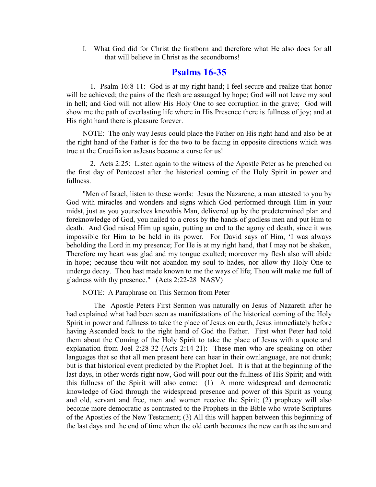I. What God did for Christ the firstborn and therefore what He also does for all that will believe in Christ as the secondborns!

### **Psalms 16-35**

1. Psalm 16:8-11: God is at my right hand; I feel secure and realize that honor will be achieved; the pains of the flesh are assuaged by hope; God will not leave my soul in hell; and God will not allow His Holy One to see corruption in the grave; God will show me the path of everlasting life where in His Presence there is fullness of joy; and at His right hand there is pleasure forever.

NOTE: The only way Jesus could place the Father on His right hand and also be at the right hand of the Father is for the two to be facing in opposite directions which was true at the Crucifixion as Jesus became a curse for us!

2. Acts 2:25: Listen again to the witness of the Apostle Peter as he preached on the first day of Pentecost after the historical coming of the Holy Spirit in power and fullness.

"Men of Israel, listen to these words: Jesus the Nazarene, a man attested to you by God with miracles and wonders and signs which God performed through Him in your midst, just as you yourselves knowthis Man, delivered up by the predetermined plan and foreknowledge of God, you nailed to a cross by the hands of godless men and put Him to death. And God raised Him up again, putting an end to the agony od death, since it was impossible for Him to be held in its power. For David says of Him, 'I was always beholding the Lord in my presence; For He is at my right hand, that I may not be shaken, Therefore my heart was glad and my tongue exulted; moreover my flesh also will abide in hope; because thou wilt not abandon my soul to hades, nor allow thy Holy One to undergo decay. Thou hast made known to me the ways of life; Thou wilt make me full of gladness with thy presence." (Acts 2:22-28 NASV)

NOTE: A Paraphrase on This Sermon from Peter

The Apostle Peters First Sermon was naturally on Jesus of Nazareth after he had explained what had been seen as manifestations of the historical coming of the Holy Spirit in power and fullness to take the place of Jesus on earth, Jesus immediately before having Ascended back to the right hand of God the Father. First what Peter had told them about the Coming of the Holy Spirit to take the place of Jesus with a quote and explanation from Joel 2:28-32 (Acts 2:14-21): These men who are speaking on other languages that so that all men present here can hear in their ownlanguage, are not drunk; but is that historical event predicted by the Prophet Joel. It is that at the beginning of the last days, in other words right now, God will pour out the fullness of His Spirit; and with this fullness of the Spirit will also come: (1) A more widespread and democratic knowledge of God through the widespread presence and power of this Spirit as young and old, servant and free, men and women receive the Spirit; (2) prophecy will also become more democratic as contrasted to the Prophets in the Bible who wrote Scriptures of the Apostles of the New Testament; (3) All this will happen between this beginning of the last days and the end of time when the old earth becomes the new earth as the sun and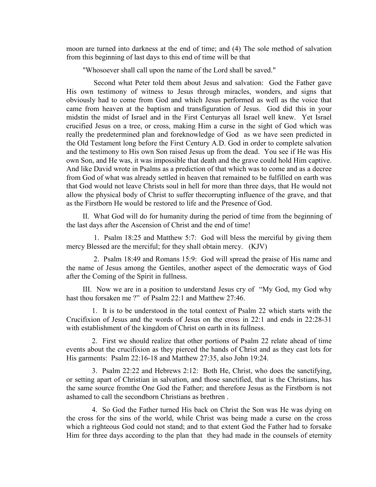moon are turned into darkness at the end of time; and (4) The sole method of salvation from this beginning of last days to this end of time will be that

"Whosoever shall call upon the name of the Lord shall be saved."

Second what Peter told them about Jesus and salvation: God the Father gave His own testimony of witness to Jesus through miracles, wonders, and signs that obviously had to come from God and which Jesus performed as well as the voice that came from heaven at the baptism and transfiguration of Jesus. God did this in your midstin the midst of Israel and in the First Centuryas all Israel well knew. Yet Israel crucified Jesus on a tree, or cross, making Him a curse in the sight of God which was really the predetermined plan and foreknowledge of God as we have seen predicted in the Old Testament long before the First Century A.D. God in order to complete salvation and the testimony to His own Son raised Jesus up from the dead. You see if He was His own Son, and He was, it was impossible that death and the grave could hold Him captive. And like David wrote in Psalms as a prediction of that which was to come and as a decree from God of what was already settled in heaven that remained to be fulfilled on earth was that God would not leave Christs soul in hell for more than three days, that He would not allow the physical body of Christ to suffer the corrupting influence of the grave, and that as the Firstborn He would be restored to life and the Presence of God.

II. What God will do for humanity during the period of time from the beginning of the last days after the Ascension of Christ and the end of time!

1. Psalm 18:25 and Matthew 5:7: God will bless the merciful by giving them mercy Blessed are the merciful; for they shall obtain mercy. (KJV)

2. Psalm 18:49 and Romans 15:9: God will spread the praise of His name and the name of Jesus among the Gentiles, another aspect of the democratic ways of God after the Coming of the Spirit in fullness.

III. Now we are in a position to understand Jesus cry of "My God, my God why" hast thou forsaken me ?" of Psalm 22:1 and Matthew 27:46.

1. It is to be understood in the total context of Psalm 22 which starts with the Crucifixion of Jesus and the words of Jesus on the cross in 22:1 and ends in  $22:28-31$ with establishment of the kingdom of Christ on earth in its fullness.

2. First we should realize that other portions of Psalm 22 relate ahead of time events about the crucifixion as they pierced the hands of Christ and as they cast lots for His garments: Psalm 22:16-18 and Matthew 27:35, also John 19:24.

3. Psalm 22:22 and Hebrews 2:12: Both He, Christ, who does the sanctifying, or setting apart of Christian in salvation, and those sanctified, that is the Christians, has the same source from the One God the Father; and therefore Jesus as the Firstborn is not ashamed to call the secondborn Christians as brethren.

4. So God the Father turned His back on Christ the Son was He was dying on the cross for the sins of the world, while Christ was being made a curse on the cross which a righteous God could not stand; and to that extent God the Father had to forsake Him for three days according to the plan that they had made in the counsels of eternity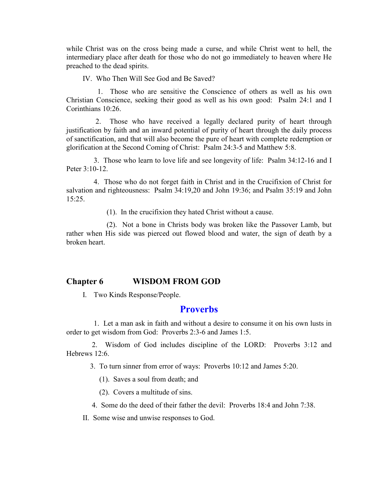while Christ was on the cross being made a curse, and while Christ went to hell, the intermediary place after death for those who do not go immediately to heaven where He preached to the dead spirits.

IV. Who Then Will See God and Be Saved?

1. Those who are sensitive the Conscience of others as well as his own Christian Conscience, seeking their good as well as his own good: Psalm 24:1 and I Corinthians 10:26.

Those who have received a legally declared purity of heart through 2. justification by faith and an inward potential of purity of heart through the daily process of sanctification, and that will also become the pure of heart with complete redemption or glorification at the Second Coming of Christ: Psalm 24:3-5 and Matthew 5:8.

3. Those who learn to love life and see longevity of life: Psalm 34:12-16 and I Peter 3:10-12

4. Those who do not forget faith in Christ and in the Crucifixion of Christ for salvation and righteousness: Psalm 34:19,20 and John 19:36; and Psalm 35:19 and John  $15:25.$ 

(1). In the crucifixion they hated Christ without a cause.

(2). Not a bone in Christs body was broken like the Passover Lamb, but rather when His side was pierced out flowed blood and water, the sign of death by a broken heart

#### **Chapter 6 WISDOM FROM GOD**

I. Two Kinds Response/People.

#### **Proverbs**

1. Let a man ask in faith and without a desire to consume it on his own lusts in order to get wisdom from God: Proverbs 2:3-6 and James 1:5.

2. Wisdom of God includes discipline of the LORD: Proverbs 3:12 and Hebrews 12:6.

3. To turn sinner from error of ways: Proverbs 10:12 and James 5:20.

(1). Saves a soul from death; and

(2). Covers a multitude of sins.

4. Some do the deed of their father the devil: Proverbs 18:4 and John 7:38.

II. Some wise and unwise responses to God.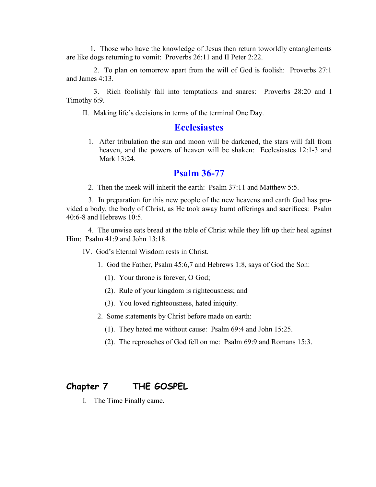1. Those who have the knowledge of Jesus then return toworldly entanglements are like dogs returning to vomit: Proverbs 26:11 and II Peter 2:22.

2. To plan on tomorrow apart from the will of God is foolish: Proverbs 27:1 and James 4:13.

3. Rich foolishly fall into temptations and snares: Proverbs 28:20 and I Timothy 6:9.

II. Making life's decisions in terms of the terminal One Day.

#### **Ecclesiastes**

1. After tribulation the sun and moon will be darkened, the stars will fall from heaven, and the powers of heaven will be shaken: Ecclesiastes 12:1-3 and Mark 13:24.

#### **Psalm 36-77**

2. Then the meek will inherit the earth: Psalm 37:11 and Matthew 5:5.

3. In preparation for this new people of the new heavens and earth God has provided a body, the body of Christ, as He took away burnt offerings and sacrifices: Psalm  $40:6-8$  and Hebrews  $10:5$ .

4. The unwise eats bread at the table of Christ while they lift up their heel against Him:  $Psalm 41:9$  and John  $13:18$ .

IV God's Eternal Wisdom rests in Christ

- 1. God the Father, Psalm 45:6,7 and Hebrews 1:8, says of God the Son:
	- $(1)$ . Your throne is forever, O God;
	- (2). Rule of your kingdom is righteousness; and
	- (3). You loved righteousness, hated iniquity.
- 2. Some statements by Christ before made on earth:
	- (1). They hated me without cause: Psalm 69:4 and John 15:25.
	- (2). The reproaches of God fell on me: Psalm 69:9 and Romans 15:3.

#### Chapter 7 THE GOSPEL

I. The Time Finally came.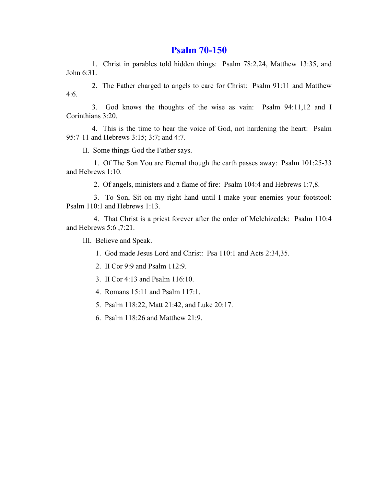#### **Psalm 70-150**

1. Christ in parables told hidden things: Psalm 78:2,24, Matthew 13:35, and John 6:31.

2. The Father charged to angels to care for Christ: Psalm 91:11 and Matthew  $4:6.$ 

3. God knows the thoughts of the wise as vain: Psalm 94:11,12 and I Corinthians 3:20.

4. This is the time to hear the voice of God, not hardening the heart: Psalm 95:7-11 and Hebrews 3:15; 3:7; and 4:7.

II. Some things God the Father says.

1. Of The Son You are Eternal though the earth passes away: Psalm 101:25-33 and Hebrews 1:10.

2. Of angels, ministers and a flame of fire: Psalm 104:4 and Hebrews 1:7,8.

3. To Son, Sit on my right hand until I make your enemies your footstool: Psalm 110:1 and Hebrews 1:13.

4. That Christ is a priest forever after the order of Melchizedek: Psalm 110:4 and Hebrews 5:6, 7:21.

III. Believe and Speak.

- 1. God made Jesus Lord and Christ: Psa 110:1 and Acts 2:34,35.
- 2. II Cor 9:9 and Psalm 112:9.
- 3. II Cor 4:13 and Psalm 116:10.
- 4. Romans 15:11 and Psalm 117:1.
- 5. Psalm 118:22, Matt 21:42, and Luke 20:17.
- 6. Psalm 118:26 and Matthew 21:9.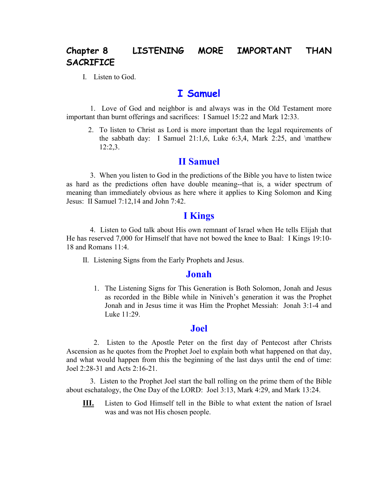#### LISTENING MORE IMPORTANT Chapter 8 **THAN SACRIFICE**

I. Listen to God.

### **I** Samuel

1. Love of God and neighbor is and always was in the Old Testament more important than burnt offerings and sacrifices: I Samuel 15:22 and Mark 12:33.

2. To listen to Christ as Lord is more important than the legal requirements of the sabbath day: I Samuel 21:1,6, Luke  $6:3,4$ , Mark 2:25, and \matthew  $12:2,3.$ 

#### **II** Samuel

3. When you listen to God in the predictions of the Bible you have to listen twice as hard as the predictions often have double meaning--that is, a wider spectrum of meaning than immediately obvious as here where it applies to King Solomon and King Jesus: II Samuel 7:12,14 and John 7:42.

#### **I** Kings

4. Listen to God talk about His own remnant of Israel when He tells Elijah that He has reserved 7,000 for Himself that have not bowed the knee to Baal: I Kings 19:10-18 and Romans  $11.4$ 

II. Listening Signs from the Early Prophets and Jesus.

#### Jonah

1. The Listening Signs for This Generation is Both Solomon, Jonah and Jesus as recorded in the Bible while in Niniveh's generation it was the Prophet Jonah and in Jesus time it was Him the Prophet Messiah: Jonah 3:1-4 and Luke 11:29.

#### **Joel**

2. Listen to the Apostle Peter on the first day of Pentecost after Christs Ascension as he quotes from the Prophet Joel to explain both what happened on that day, and what would happen from this the beginning of the last days until the end of time: Joel 2:28-31 and Acts 2:16-21.

3. Listen to the Prophet Joel start the ball rolling on the prime them of the Bible about eschatalogy, the One Day of the LORD: Joel 3:13, Mark 4:29, and Mark 13:24.

Listen to God Himself tell in the Bible to what extent the nation of Israel III. was and was not His chosen people.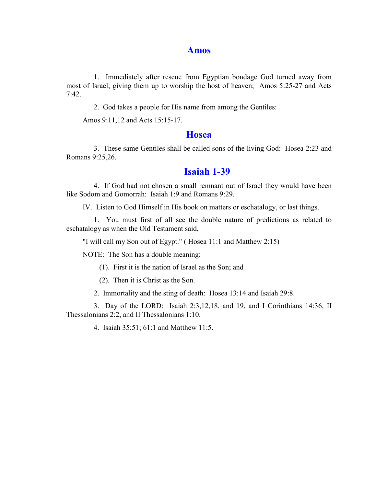#### **Amos**

1. Immediately after rescue from Egyptian bondage God turned away from most of Israel, giving them up to worship the host of heaven; Amos 5:25-27 and Acts  $7:42.$ 

2. God takes a people for His name from among the Gentiles:

Amos 9:11,12 and Acts 15:15-17.

#### **Hosea**

3. These same Gentiles shall be called sons of the living God: Hosea 2:23 and Romans 9:25,26.

#### **Isaiah 1-39**

4. If God had not chosen a small remnant out of Israel they would have been like Sodom and Gomorrah: Isaiah 1:9 and Romans 9:29.

IV. Listen to God Himself in His book on matters or eschatalogy, or last things.

1. You must first of all see the double nature of predictions as related to eschatalogy as when the Old Testament said,

"I will call my Son out of Egypt." (Hosea 11:1 and Matthew 2:15)

NOTE: The Son has a double meaning:

(1). First it is the nation of Israel as the Son; and

(2). Then it is Christ as the Son.

2. Immortality and the sting of death: Hosea 13:14 and Isaiah 29:8.

3. Day of the LORD: Isaiah 2:3,12,18, and 19, and I Corinthians 14:36, II Thessalonians 2:2, and II Thessalonians 1:10.

4. Isaiah 35:51; 61:1 and Matthew 11:5.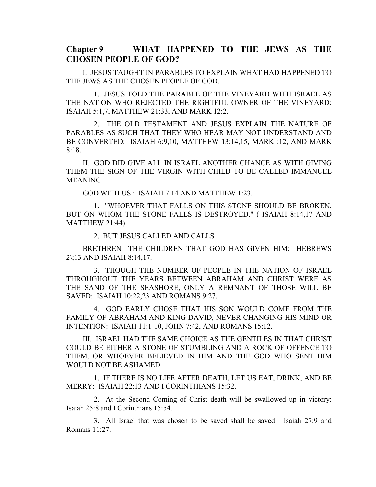#### Chapter 9 WHAT HAPPENED TO THE JEWS AS THE **CHOSEN PEOPLE OF GOD?**

I. JESUS TAUGHT IN PARABLES TO EXPLAIN WHAT HAD HAPPENED TO THE JEWS AS THE CHOSEN PEOPLE OF GOD.

1. JESUS TOLD THE PARABLE OF THE VINEYARD WITH ISRAEL AS THE NATION WHO REJECTED THE RIGHTFUL OWNER OF THE VINEYARD: ISAIAH 5:1,7, MATTHEW 21:33, AND MARK 12:2.

2. THE OLD TESTAMENT AND JESUS EXPLAIN THE NATURE OF PARABLES AS SUCH THAT THEY WHO HEAR MAY NOT UNDERSTAND AND BE CONVERTED: ISAIAH 6:9,10, MATTHEW 13:14,15, MARK :12, AND MARK  $8:18.$ 

IL GOD DID GIVE ALL IN ISRAEL ANOTHER CHANCE AS WITH GIVING THEM THE SIGN OF THE VIRGIN WITH CHILD TO BE CALLED IMMANUEL **MEANING** 

GOD WITH US: ISAIAH 7:14 AND MATTHEW 1:23.

1. "WHOEVER THAT FALLS ON THIS STONE SHOULD BE BROKEN, BUT ON WHOM THE STONE FALLS IS DESTROYED." (ISAIAH 8:14,17 AND **MATTHEW 21:44)** 

2. BUT JESUS CALLED AND CALLS

BRETHREN THE CHILDREN THAT GOD HAS GIVEN HIM: HEBREWS  $2\$ <sub>13</sub> AND ISAIAH 8:14,17.

3. THOUGH THE NUMBER OF PEOPLE IN THE NATION OF ISRAEL THROUGHOUT THE YEARS BETWEEN ABRAHAM AND CHRIST WERE AS THE SAND OF THE SEASHORE, ONLY A REMNANT OF THOSE WILL BE SAVED: ISAIAH 10:22,23 AND ROMANS 9:27.

4. GOD EARLY CHOSE THAT HIS SON WOULD COME FROM THE FAMILY OF ABRAHAM AND KING DAVID, NEVER CHANGING HIS MIND OR INTENTION: ISAIAH 11:1-10, JOHN 7:42, AND ROMANS 15:12.

III. ISRAEL HAD THE SAME CHOICE AS THE GENTILES IN THAT CHRIST COULD BE EITHER A STONE OF STUMBLING AND A ROCK OF OFFENCE TO THEM, OR WHOEVER BELIEVED IN HIM AND THE GOD WHO SENT HIM WOULD NOT BE ASHAMED.

1. IF THERE IS NO LIFE AFTER DEATH, LET US EAT, DRINK, AND BE MERRY: ISAIAH 22:13 AND I CORINTHIANS 15:32.

2. At the Second Coming of Christ death will be swallowed up in victory: Isaiah 25:8 and I Corinthians 15:54.

3. All Israel that was chosen to be saved shall be saved: Isaiah 27:9 and Romans 11:27.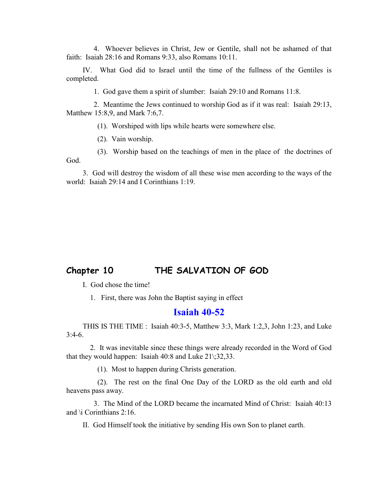4. Whoever believes in Christ, Jew or Gentile, shall not be ashamed of that faith: Isaiah 28:16 and Romans 9:33, also Romans 10:11.

IV. What God did to Israel until the time of the fullness of the Gentiles is completed.

1. God gave them a spirit of slumber: Isaiah 29:10 and Romans 11:8.

2. Meantime the Jews continued to worship God as if it was real: Isaiah 29:13, Matthew 15:8,9, and Mark 7:6,7.

(1). Worshiped with lips while hearts were somewhere else.

(2). Vain worship.

(3). Worship based on the teachings of men in the place of the doctrines of God

3. God will destroy the wisdom of all these wise men according to the ways of the world: Isaiah 29:14 and I Corinthians 1:19.

#### Chapter 10 THE SALVATION OF GOD

I. God chose the time!

1. First, there was John the Baptist saying in effect

#### $Isaiah 40-52$

THIS IS THE TIME : Isaiah 40:3-5, Matthew 3:3, Mark 1:2,3, John 1:23, and Luke  $3:4-6.$ 

2. It was inevitable since these things were already recorded in the Word of God that they would happen: Isaiah  $40:8$  and Luke  $21$ :32,33.

(1). Most to happen during Christs generation.

(2). The rest on the final One Day of the LORD as the old earth and old heavens pass away.

3. The Mind of the LORD became the incarnated Mind of Christ: Isaiah 40:13 and  $\setminus$  Corinthians 2:16.

II. God Himself took the initiative by sending His own Son to planet earth.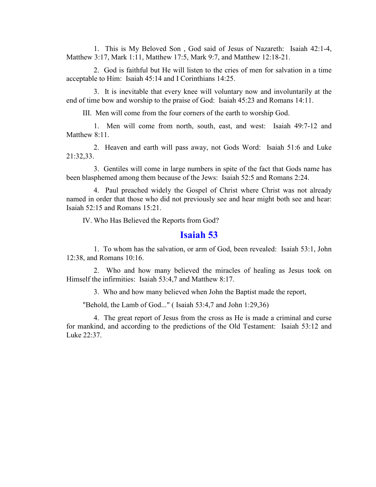1. This is My Beloved Son, God said of Jesus of Nazareth: Isaiah 42:1-4, Matthew 3:17, Mark 1:11, Matthew 17:5, Mark 9:7, and Matthew 12:18-21.

2. God is faithful but He will listen to the cries of men for salvation in a time acceptable to Him: Isaiah 45:14 and I Corinthians 14:25.

3. It is inevitable that every knee will voluntary now and involuntarily at the end of time bow and worship to the praise of God: Isaiah 45:23 and Romans 14:11.

III. Men will come from the four corners of the earth to worship God.

1. Men will come from north, south, east, and west: Isaiah 49:7-12 and Matthew  $8:11$ .

2. Heaven and earth will pass away, not Gods Word: Isaiah 51:6 and Luke 21:32,33.

3. Gentiles will come in large numbers in spite of the fact that Gods name has been blasphemed among them because of the Jews: Isaiah 52:5 and Romans 2:24.

4. Paul preached widely the Gospel of Christ where Christ was not already named in order that those who did not previously see and hear might both see and hear: Isaiah  $52:15$  and Romans  $15:21$ .

IV. Who Has Believed the Reports from God?

#### **<u><b>Isaiah**</u>

1. To whom has the salvation, or arm of God, been revealed: Isaiah 53:1, John 12:38, and Romans  $10:16$ .

2. Who and how many believed the miracles of healing as Jesus took on Himself the infirmities: Isaiah  $53:4.7$  and Matthew 8:17.

3. Who and how many believed when John the Baptist made the report,

"Behold, the Lamb of God..." ( Isaiah  $53:4.7$  and John  $1:29.36$ )

4. The great report of Jesus from the cross as He is made a criminal and curse for mankind, and according to the predictions of the Old Testament: Isaiah 53:12 and Luke 22:37.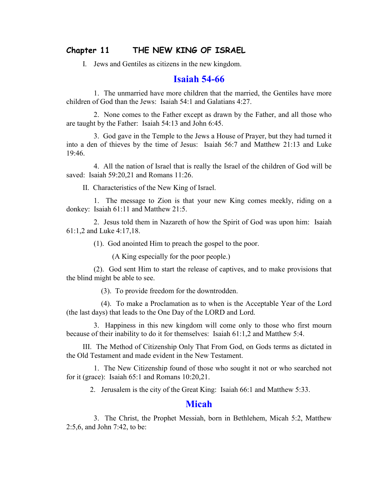#### THE NEW KING OF ISRAEL Chapter 11

I. Jews and Gentiles as citizens in the new kingdom.

#### **Isaiah 54-66**

1. The unmarried have more children that the married, the Gentiles have more children of God than the Jews: Isaiah 54:1 and Galatians 4:27.

2. None comes to the Father except as drawn by the Father, and all those who are taught by the Father: Isaiah 54:13 and John 6:45.

3. God gave in the Temple to the Jews a House of Prayer, but they had turned it into a den of thieves by the time of Jesus: Isaiah 56:7 and Matthew 21:13 and Luke  $19.46$ 

4. All the nation of Israel that is really the Israel of the children of God will be saved: Isaiah 59:20,21 and Romans 11:26.

II. Characteristics of the New King of Israel.

1. The message to Zion is that your new King comes meekly, riding on a donkey: Isaiah 61:11 and Matthew 21:5.

2. Jesus told them in Nazareth of how the Spirit of God was upon him: Isaiah  $61:1,2$  and Luke 4:17,18.

(1). God anointed Him to preach the gospel to the poor.

(A King especially for the poor people.)

(2). God sent Him to start the release of captives, and to make provisions that the blind might be able to see.

(3). To provide freedom for the downtrodden.

(4). To make a Proclamation as to when is the Acceptable Year of the Lord (the last days) that leads to the One Day of the LORD and Lord.

3. Happiness in this new kingdom will come only to those who first mourn because of their inability to do it for themselves: Isaiah 61:1,2 and Matthew 5:4.

III. The Method of Citizenship Only That From God, on Gods terms as dictated in the Old Testament and made evident in the New Testament.

1. The New Citizenship found of those who sought it not or who searched not for it (grace): Isaiah  $65:1$  and Romans  $10:20.21$ .

2. Jerusalem is the city of the Great King: Isaiah 66:1 and Matthew 5:33.

#### **Micah**

3. The Christ, the Prophet Messiah, born in Bethlehem, Micah 5:2, Matthew  $2:5,6$ , and John 7:42, to be: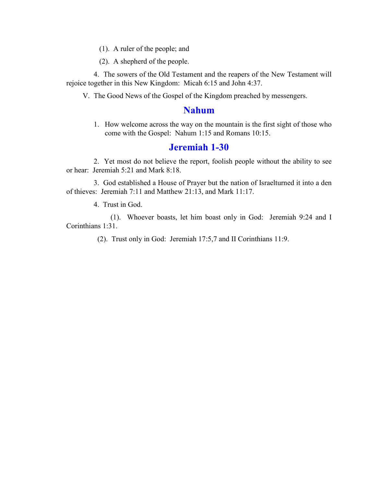$(1)$ . A ruler of the people; and

(2). A shepherd of the people.

4. The sowers of the Old Testament and the reapers of the New Testament will rejoice together in this New Kingdom: Micah 6:15 and John 4:37.

V. The Good News of the Gospel of the Kingdom preached by messengers.

### **Nahum**

1. How welcome across the way on the mountain is the first sight of those who come with the Gospel: Nahum 1:15 and Romans 10:15.

#### **Jeremiah 1-30**

2. Yet most do not believe the report, foolish people without the ability to see or hear: Jeremiah 5:21 and Mark 8:18.

3. God established a House of Prayer but the nation of Israelturned it into a den of thieves: Jeremiah 7:11 and Matthew 21:13, and Mark 11:17.

4. Trust in God.

(1). Whoever boasts, let him boast only in God: Jeremiah 9:24 and I Corinthians 1:31.

(2). Trust only in God: Jeremiah 17:5,7 and II Corinthians 11:9.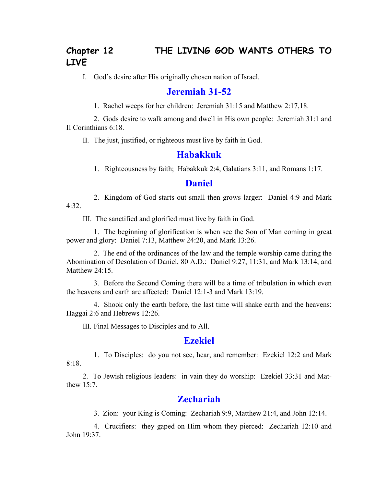# **21 8 Chapter 12 THE LIVING GOD WANTS OTHERS TO** LIVE

I. God's desire after His originally chosen nation of Israel.

### *<u><b>Jeremiah* 31-52</u>

1. Rachel weeps for her children: Jeremiah  $31:15$  and Matthew  $2:17,18$ .

2. Gods desire to walk among and dwell in His own people: Jeremiah  $31:1$  and II Corinthians  $6:18$ .

II. The just, justified, or righteous must live by faith in God.

#### **Habakkuk**

1. Righteousness by faith; Habakkuk 2:4, Galatians 3:11, and Romans 1:17.

#### **Daniel**

2. Kingdom of God starts out small then grows larger: Daniel 4:9 and Mark 4:32.

III. The sanctified and glorified must live by faith in God.

1. The beginning of glorification is when see the Son of Man coming in great power and glory: Daniel 7:13, Matthew 24:20, and Mark 13:26.

2. The end of the ordinances of the law and the temple worship came during the Abomination of Desolation of Daniel, 80 A.D.: Daniel 9:27, 11:31, and Mark 13:14, and Matthew 24:15.

3. Before the Second Coming there will be a time of tribulation in which even the heavens and earth are affected: Daniel 12:1-3 and Mark 13:19.

4. Shook only the earth before, the last time will shake earth and the heavens: Haggai  $2:6$  and Hebrews 12:26.

III. Final Messages to Disciples and to All.

#### **Ezekiel**

1. To Disciples: do you not see, hear, and remember: Ezekiel 12:2 and Mark  $8.18$ 

2. To Jewish religious leaders: in vain they do worship: Ezekiel 33:31 and Matthew  $15:7$ .

#### **Zechariah**

3. Zion: your King is Coming: Zechariah 9:9, Matthew  $21:4$ , and John 12:14.

4. Crucifiers: they gaped on Him whom they pierced: Zechariah 12:10 and John 19:37.